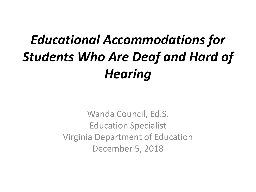#### *Educational Accommodations for Students Who Are Deaf and Hard of Hearing*

Wanda Council, Ed.S. Education Specialist Virginia Department of Education December 5, 2018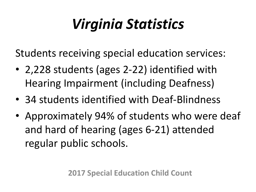## *Virginia Statistics*

Students receiving special education services:

- 2,228 students (ages 2-22) identified with Hearing Impairment (including Deafness)
- 34 students identified with Deaf-Blindness
- Approximately 94% of students who were deaf and hard of hearing (ages 6-21) attended regular public schools.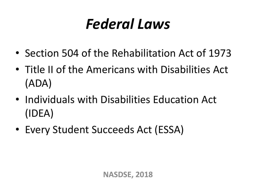## *Federal Laws*

- Section 504 of the Rehabilitation Act of 1973
- Title II of the Americans with Disabilities Act (ADA)
- Individuals with Disabilities Education Act (IDEA)
- Every Student Succeeds Act (ESSA)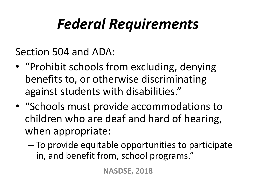## *Federal Requirements*

Section 504 and ADA:

- "Prohibit schools from excluding, denying benefits to, or otherwise discriminating against students with disabilities."
- "Schools must provide accommodations to children who are deaf and hard of hearing, when appropriate:
	- To provide equitable opportunities to participate in, and benefit from, school programs."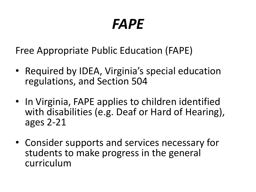#### *FAPE*

Free Appropriate Public Education (FAPE)

- Required by IDEA, Virginia's special education regulations, and Section 504
- In Virginia, FAPE applies to children identified with disabilities (e.g. Deaf or Hard of Hearing), ages 2-21
- Consider supports and services necessary for students to make progress in the general curriculum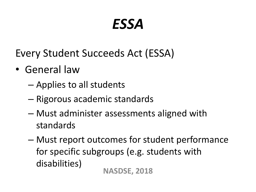#### *ESSA*

Every Student Succeeds Act (ESSA)

- General law
	- Applies to all students
	- Rigorous academic standards
	- Must administer assessments aligned with standards
	- Must report outcomes for student performance for specific subgroups (e.g. students with disabilities) **NASDSE, 2018**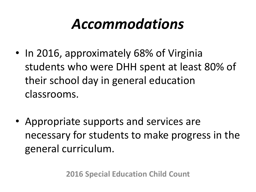#### *Accommodations*

- In 2016, approximately 68% of Virginia students who were DHH spent at least 80% of their school day in general education classrooms.
- Appropriate supports and services are necessary for students to make progress in the general curriculum.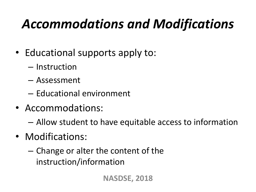#### *Accommodations and Modifications*

- Educational supports apply to:
	- Instruction
	- Assessment
	- Educational environment
- Accommodations:
	- Allow student to have equitable access to information
- Modifications:
	- Change or alter the content of the instruction/information

**NASDSE, 2018**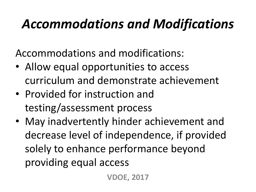#### *Accommodations and Modifications*

Accommodations and modifications:

- Allow equal opportunities to access curriculum and demonstrate achievement
- Provided for instruction and testing/assessment process
- May inadvertently hinder achievement and decrease level of independence, if provided solely to enhance performance beyond providing equal access

**VDOE, 2017**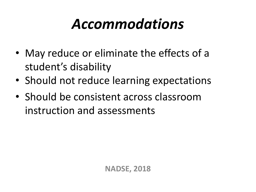#### *Accommodations*

- May reduce or eliminate the effects of a student's disability
- Should not reduce learning expectations
- Should be consistent across classroom instruction and assessments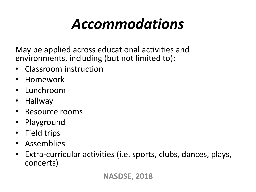## *Accommodations*

May be applied across educational activities and environments, including (but not limited to):

- Classroom instruction
- Homework
- Lunchroom
- Hallway
- Resource rooms
- Playground
- Field trips
- Assemblies
- Extra-curricular activities (i.e. sports, clubs, dances, plays, concerts)

#### **NASDSE, 2018**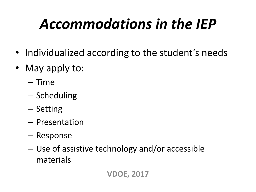## *Accommodations in the IEP*

- Individualized according to the student's needs
- May apply to:
	- Time
	- Scheduling
	- Setting
	- Presentation
	- Response
	- Use of assistive technology and/or accessible materials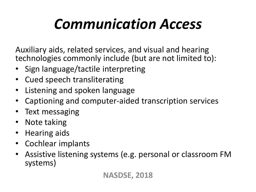## *Communication Access*

Auxiliary aids, related services, and visual and hearing technologies commonly include (but are not limited to):

- Sign language/tactile interpreting
- Cued speech transliterating
- Listening and spoken language
- Captioning and computer-aided transcription services
- Text messaging
- Note taking
- Hearing aids
- Cochlear implants
- Assistive listening systems (e.g. personal or classroom FM systems)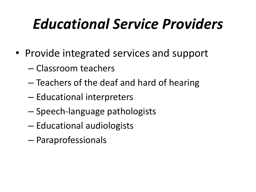## *Educational Service Providers*

- Provide integrated services and support
	- Classroom teachers
	- Teachers of the deaf and hard of hearing
	- Educational interpreters
	- Speech-language pathologists
	- Educational audiologists
	- Paraprofessionals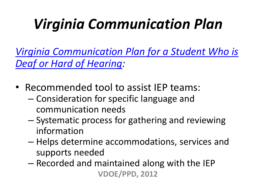## *Virginia Communication Plan*

*[Virginia Communication Plan for a Student Who is](http://www.doe.virginia.gov/special_ed/disabilities/sensory_disabilities/hearing_impairment/va_communication_plan.docx)  [Deaf or Hard of Hearing](http://www.doe.virginia.gov/special_ed/disabilities/sensory_disabilities/hearing_impairment/va_communication_plan.docx):* 

- Recommended tool to assist IEP teams:
	- Consideration for specific language and communication needs
	- Systematic process for gathering and reviewing information
	- Helps determine accommodations, services and supports needed
	- Recorded and maintained along with the IEP **VDOE/PPD, 2012**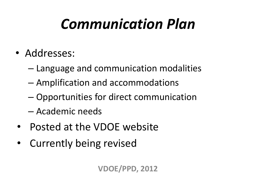## *Communication Plan*

- Addresses:
	- Language and communication modalities
	- Amplification and accommodations
	- Opportunities for direct communication
	- Academic needs
- Posted at the VDOE website
- Currently being revised

**VDOE/PPD, 2012**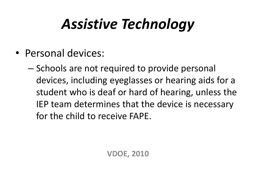## *Assistive Technology*

- Personal devices:
	- Schools are not required to provide personal devices, including eyeglasses or hearing aids for a student who is deaf or hard of hearing, unless the IEP team determines that the device is necessary for the child to receive FAPE.

**VDOE, 2010**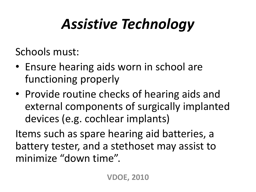## *Assistive Technology*

Schools must:

- Ensure hearing aids worn in school are functioning properly
- Provide routine checks of hearing aids and external components of surgically implanted devices (e.g. cochlear implants)

Items such as spare hearing aid batteries, a battery tester, and a stethoset may assist to minimize "down time".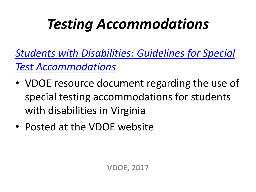## *Testing Accommodations*

*[Students with Disabilities: Guidelines for Special](http://www.doe.virginia.gov/testing/participation/guidelines_for_special_test_accommodations.pdf)  [Test Accommodations](http://www.doe.virginia.gov/testing/participation/guidelines_for_special_test_accommodations.pdf)*

- VDOE resource document regarding the use of special testing accommodations for students with disabilities in Virginia
- Posted at the VDOE website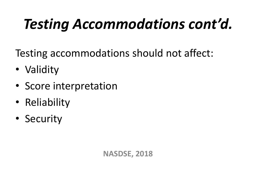# *Testing Accommodations cont'd.*

Testing accommodations should not affect:

- Validity
- Score interpretation
- Reliability
- Security

**NASDSE, 2018**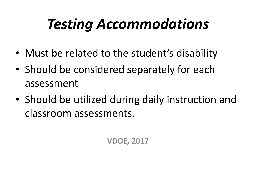## *Testing Accommodations*

- Must be related to the student's disability
- Should be considered separately for each assessment
- Should be utilized during daily instruction and classroom assessments.

**VDOE, 2017**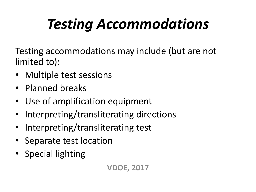# *Testing Accommodations*

Testing accommodations may include (but are not limited to):

- Multiple test sessions
- Planned breaks
- Use of amplification equipment
- Interpreting/transliterating directions
- Interpreting/transliterating test
- Separate test location
- Special lighting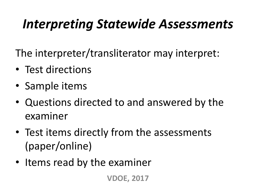#### *Interpreting Statewide Assessments*

The interpreter/transliterator may interpret:

- Test directions
- Sample items
- Questions directed to and answered by the examiner
- Test items directly from the assessments (paper/online)
- Items read by the examiner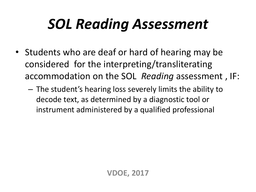## *SOL Reading Assessment*

- Students who are deaf or hard of hearing may be considered for the interpreting/transliterating accommodation on the SOL *Reading* assessment , IF:
	- The student's hearing loss severely limits the ability to decode text, as determined by a diagnostic tool or instrument administered by a qualified professional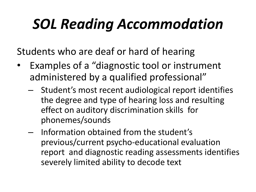## *SOL Reading Accommodation*

Students who are deaf or hard of hearing

- Examples of a "diagnostic tool or instrument administered by a qualified professional"
	- Student's most recent audiological report identifies the degree and type of hearing loss and resulting effect on auditory discrimination skills for phonemes/sounds
	- Information obtained from the student's previous/current psycho-educational evaluation report and diagnostic reading assessments identifies severely limited ability to decode text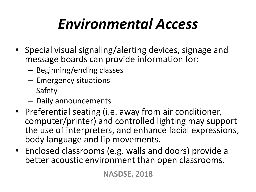# *Environmental Access*

- Special visual signaling/alerting devices, signage and message boards can provide information for:
	- Beginning/ending classes
	- Emergency situations
	- Safety
	- Daily announcements
- Preferential seating (i.e. away from air conditioner, computer/printer) and controlled lighting may support the use of interpreters, and enhance facial expressions, body language and lip movements.
- Enclosed classrooms (e.g. walls and doors) provide a better acoustic environment than open classrooms.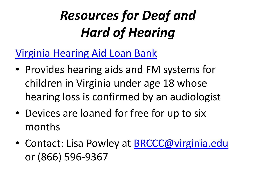#### *Resources for Deaf and Hard of Hearing*

#### [Virginia Hearing Aid Loan Bank](http://www.vdh.virginia.gov/early-hearing-detection-and-intervention/virginia-hearing-aid-loan-bank/)

- Provides hearing aids and FM systems for children in Virginia under age 18 whose hearing loss is confirmed by an audiologist
- Devices are loaned for free for up to six months
- Contact: Lisa Powley at [BRCCC@virginia.edu](mailto:BRCCC@virginia.edu) or (866) 596-9367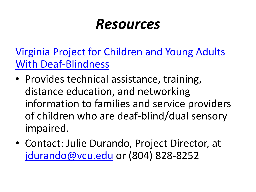[Virginia Project for Children and Young Adults](http://partnership.vcu.edu/programs/education/vadbp/)  [With Deaf-Blindness](http://partnership.vcu.edu/programs/education/vadbp/)

- Provides technical assistance, training, distance education, and networking information to families and service providers of children who are deaf-blind/dual sensory impaired.
- Contact: Julie Durando, Project Director, at [jdurando@vcu.edu](mailto:jdurando@vcu.edu) or (804) 828-8252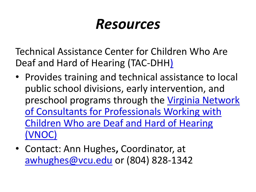Technical Assistance Center for Children Who Are Deaf and Hard of Hearing (TAC-DHH[\)](https://partnership.vcu.edu/VNOC/)

- Provides training and technical assistance to local public school divisions, early intervention, and preschool programs through the [Virginia Network](https://partnership.vcu.edu/VNOC/)  [of Consultants for Professionals Working with](https://partnership.vcu.edu/VNOC/)  [Children Who are Deaf and Hard of Hearing](https://partnership.vcu.edu/VNOC/)  [\(VNOC\)](https://partnership.vcu.edu/VNOC/)
- Contact: Ann Hughes**,** Coordinator, at [awhughes@vcu.edu](mailto:awhughes@vcu.edu) or (804) 828-1342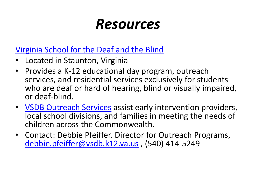#### [Virginia School for the Deaf and the Blind](https://www.vsdb.k12.va.us/vsdb/)

- Located in Staunton, Virginia
- Provides a K-12 educational day program, outreach services, and residential services exclusively for students who are deaf or hard of hearing, blind or visually impaired, or deaf-blind.
- [VSDB Outreach Services](https://www.vsdb.k12.va.us/vsdb/outreach/) assist early intervention providers, local school divisions, and families in meeting the needs of children across the Commonwealth.
- Contact: Debbie Pfeiffer, Director for Outreach Programs, [debbie.pfeiffer@vsdb.k12.va.us](mailto:debbie.pfeiffer@vsdb.k12.va.us) , (540) 414-5249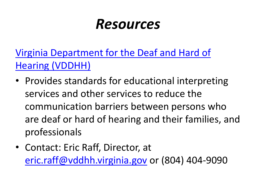[Virginia Department for the Deaf and Hard of](https://www.vddhh.org/)  [Hearing \(VDDHH\)](https://www.vddhh.org/)

- Provides standards for educational interpreting services and other services to reduce the communication barriers between persons who are deaf or hard of hearing and their families, and professionals
- Contact: Eric Raff, Director, at [eric.raff@vddhh.virginia.gov](mailto:eric.raff@vddhh.virginia.gov) or (804) 404-9090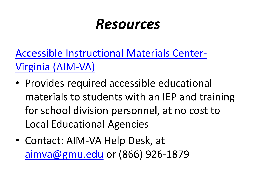[Accessible Instructional Materials Center-](https://aimva.org/)[Virginia \(AIM-VA\)](https://aimva.org/)

- Provides required accessible educational materials to students with an IEP and training for school division personnel, at no cost to Local Educational Agencies
- Contact: AIM-VA Help Desk, at [aimva@gmu.edu](mailto:aimva@gmu.edu) or (866) 926-1879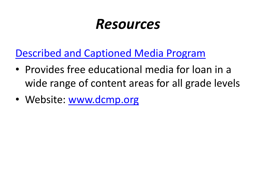[Described and Captioned Media Program](https://dcmp.org/)

- Provides free educational media for loan in a wide range of content areas for all grade levels
- Website: [www.dcmp.org](http://www.dcmp.org/)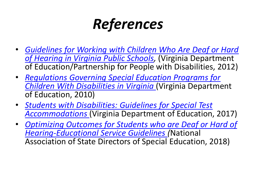### *References*

- *[Guidelines for Working with Children Who Are Deaf or Hard](http://www.doe.virginia.gov/special_ed/disabilities/sensory_disabilities/hearing_impairment/guidelines_working_with_deaf.pdf)  [of Hearing in Virginia Public Schools](http://www.doe.virginia.gov/special_ed/disabilities/sensory_disabilities/hearing_impairment/guidelines_working_with_deaf.pdf),* (Virginia Department of Education/Partnership for People with Disabilities, 2012)
- *[Regulations Governing Special Education Programs for](http://www.doe.virginia.gov/special_ed/regulations/state/regs_speced_disability_va.pdf)  [Children With Disabilities in Virginia](http://www.doe.virginia.gov/special_ed/regulations/state/regs_speced_disability_va.pdf)* (Virginia Department of Education, 2010)
- *[Students with Disabilities: Guidelines for Special Test](http://www.doe.virginia.gov/testing/participation/guidelines_for_special_test_accommodations.pdf)  [Accommodations](http://www.doe.virginia.gov/testing/participation/guidelines_for_special_test_accommodations.pdf)* (Virginia Department of Education, 2017)
- *[Optimizing Outcomes for Students who are Deaf or Hard of](http://www.nasdse.org/LinkClick.aspx?fileticket=9v8pO3R7Nzk%3d&tabid=36)  [Hearing-Educational Service Guidelines](http://www.nasdse.org/LinkClick.aspx?fileticket=9v8pO3R7Nzk%3d&tabid=36) (*National Association of State Directors of Special Education, 2018)